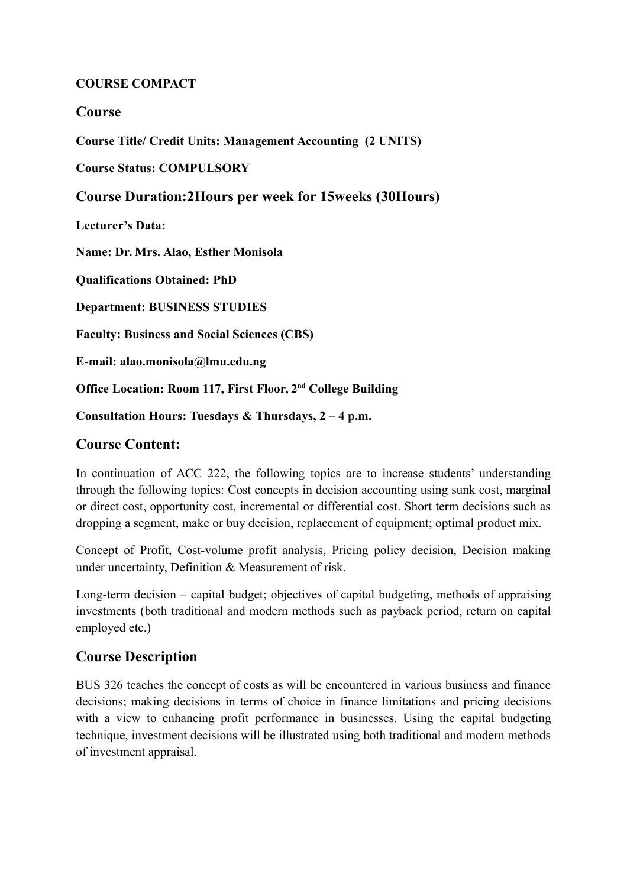### **COURSE COMPACT**

### **Course**

**Course Title/ Credit Units: Management Accounting (2 UNITS)**

**Course Status: COMPULSORY**

### **Course Duration:2Hours per week for 15weeks (30Hours)**

**Lecturer's Data:** 

**Name: Dr. Mrs. Alao, Esther Monisola**

**Qualifications Obtained: PhD**

**Department: BUSINESS STUDIES**

**Faculty: Business and Social Sciences (CBS)**

**E-mail: alao.monisola@lmu.edu.ng**

**Office Location: Room 117, First Floor, 2nd College Building**

**Consultation Hours: Tuesdays & Thursdays, 2 – 4 p.m.** 

### **Course Content:**

In continuation of ACC 222, the following topics are to increase students' understanding through the following topics: Cost concepts in decision accounting using sunk cost, marginal or direct cost, opportunity cost, incremental or differential cost. Short term decisions such as dropping a segment, make or buy decision, replacement of equipment; optimal product mix.

Concept of Profit, Cost-volume profit analysis, Pricing policy decision, Decision making under uncertainty, Definition & Measurement of risk.

Long-term decision – capital budget; objectives of capital budgeting, methods of appraising investments (both traditional and modern methods such as payback period, return on capital employed etc.)

# **Course Description**

BUS 326 teaches the concept of costs as will be encountered in various business and finance decisions; making decisions in terms of choice in finance limitations and pricing decisions with a view to enhancing profit performance in businesses. Using the capital budgeting technique, investment decisions will be illustrated using both traditional and modern methods of investment appraisal.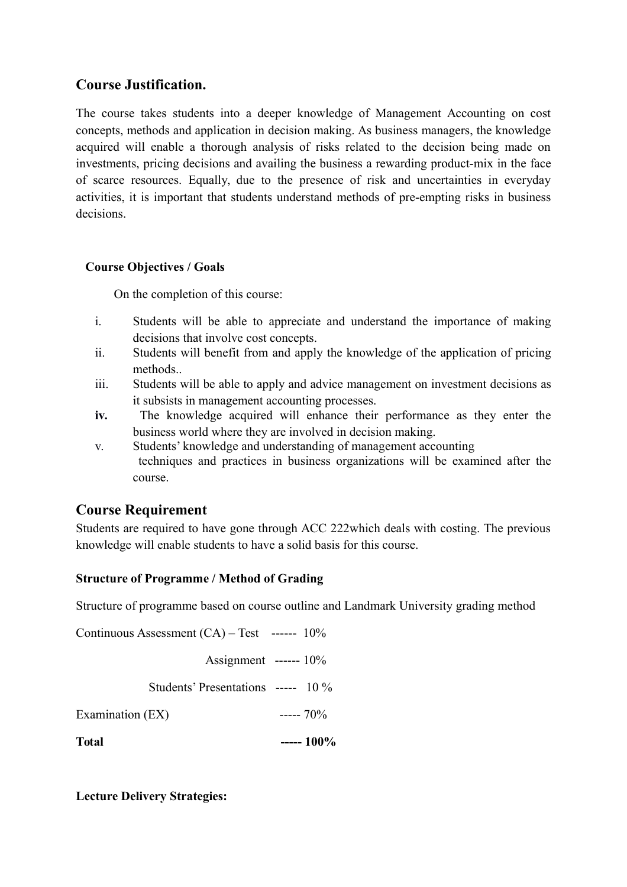# **Course Justification.**

The course takes students into a deeper knowledge of Management Accounting on cost concepts, methods and application in decision making. As business managers, the knowledge acquired will enable a thorough analysis of risks related to the decision being made on investments, pricing decisions and availing the business a rewarding product-mix in the face of scarce resources. Equally, due to the presence of risk and uncertainties in everyday activities, it is important that students understand methods of pre-empting risks in business decisions.

### **Course Objectives / Goals**

On the completion of this course:

- i. Students will be able to appreciate and understand the importance of making decisions that involve cost concepts.
- ii. Students will benefit from and apply the knowledge of the application of pricing methods..
- iii. Students will be able to apply and advice management on investment decisions as it subsists in management accounting processes.
- **iv.** The knowledge acquired will enhance their performance as they enter the business world where they are involved in decision making.
- v. Students' knowledge and understanding of management accounting techniques and practices in business organizations will be examined after the course.

# **Course Requirement**

Students are required to have gone through ACC 222which deals with costing. The previous knowledge will enable students to have a solid basis for this course.

# **Structure of Programme / Method of Grading**

Structure of programme based on course outline and Landmark University grading method

Continuous Assessment (CA) – Test ------ 10% Assignment ------ 10% Students' Presentations ----- 10 % Examination  $(EX)$  -----  $70\%$ **Total ----- 100%**

**Lecture Delivery Strategies:**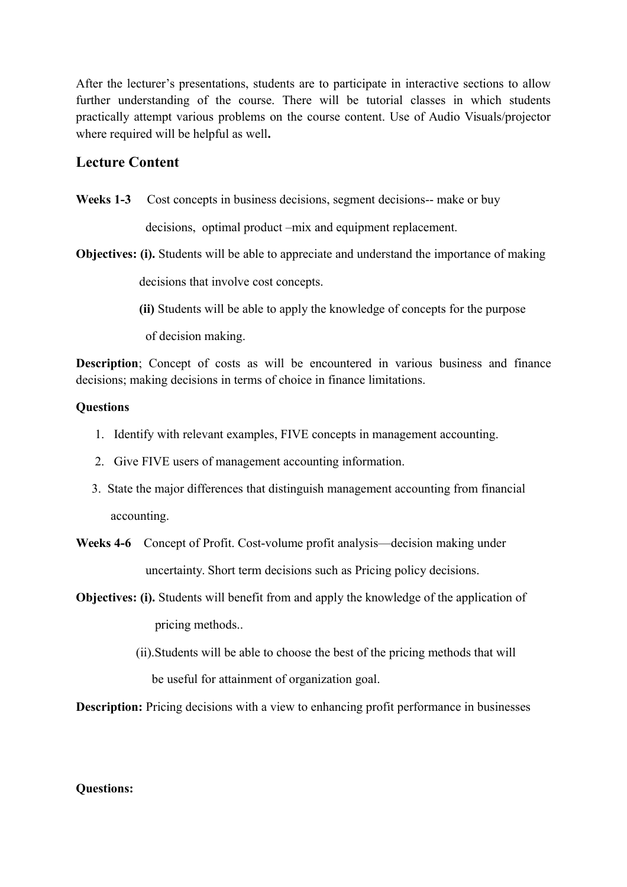After the lecturer's presentations, students are to participate in interactive sections to allow further understanding of the course. There will be tutorial classes in which students practically attempt various problems on the course content. Use of Audio Visuals/projector where required will be helpful as well**.**

### **Lecture Content**

Weeks 1-3 Cost concepts in business decisions, segment decisions-- make or buy

decisions, optimal product –mix and equipment replacement.

- **Objectives: (i).** Students will be able to appreciate and understand the importance of making decisions that involve cost concepts.
	- **(ii)** Students will be able to apply the knowledge of concepts for the purpose

of decision making.

**Description**; Concept of costs as will be encountered in various business and finance decisions; making decisions in terms of choice in finance limitations.

#### **Questions**

- 1. Identify with relevant examples, FIVE concepts in management accounting.
- 2. Give FIVE users of management accounting information.
- 3. State the major differences that distinguish management accounting from financial accounting.
- **Weeks 4-6** Concept of Profit. Cost-volume profit analysis—decision making under uncertainty. Short term decisions such as Pricing policy decisions.
- **Objectives: (i).** Students will benefit from and apply the knowledge of the application of pricing methods..
	- (ii).Students will be able to choose the best of the pricing methods that will be useful for attainment of organization goal.

**Description:** Pricing decisions with a view to enhancing profit performance in businesses

#### **Questions:**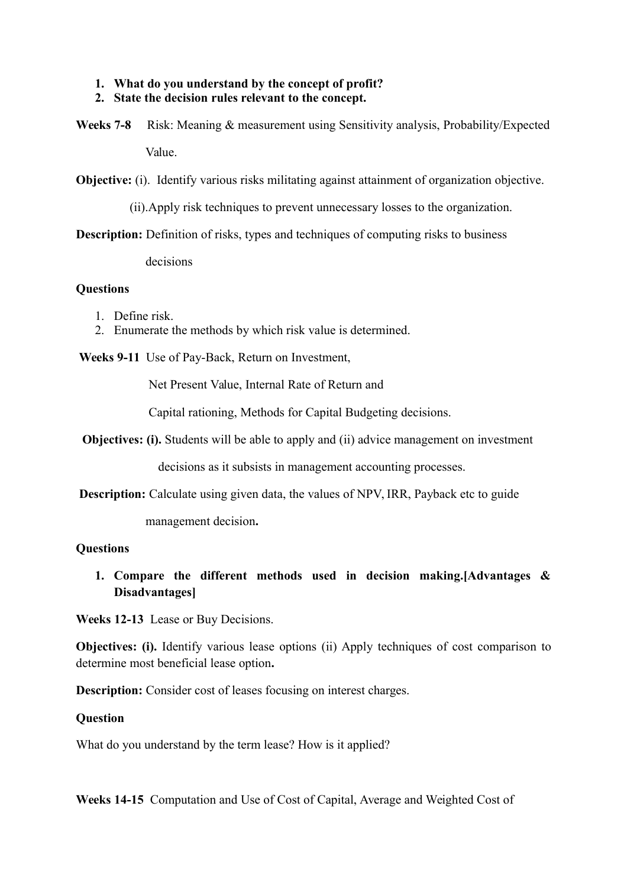### **1. What do you understand by the concept of profit?**

- **2. State the decision rules relevant to the concept.**
- **Weeks 7-8** Risk: Meaning & measurement using Sensitivity analysis, Probability/Expected Value.

**Objective:** (i). Identify various risks militating against attainment of organization objective.

(ii).Apply risk techniques to prevent unnecessary losses to the organization.

**Description:** Definition of risks, types and techniques of computing risks to business

decisions

### **Questions**

- 1. Define risk.
- 2. Enumerate the methods by which risk value is determined.

 **Weeks 9-11** Use of Pay-Back, Return on Investment,

Net Present Value, Internal Rate of Return and

Capital rationing, Methods for Capital Budgeting decisions.

**Objectives: (i).** Students will be able to apply and (ii) advice management on investment

decisions as it subsists in management accounting processes.

**Description:** Calculate using given data, the values of NPV, IRR, Payback etc to guide

management decision**.**

### **Questions**

**1. Compare the different methods used in decision making.[Advantages & Disadvantages]**

**Weeks 12-13** Lease or Buy Decisions.

**Objectives: (i).** Identify various lease options (ii) Apply techniques of cost comparison to determine most beneficial lease option**.**

**Description:** Consider cost of leases focusing on interest charges.

#### **Question**

What do you understand by the term lease? How is it applied?

**Weeks 14-15** Computation and Use of Cost of Capital, Average and Weighted Cost of